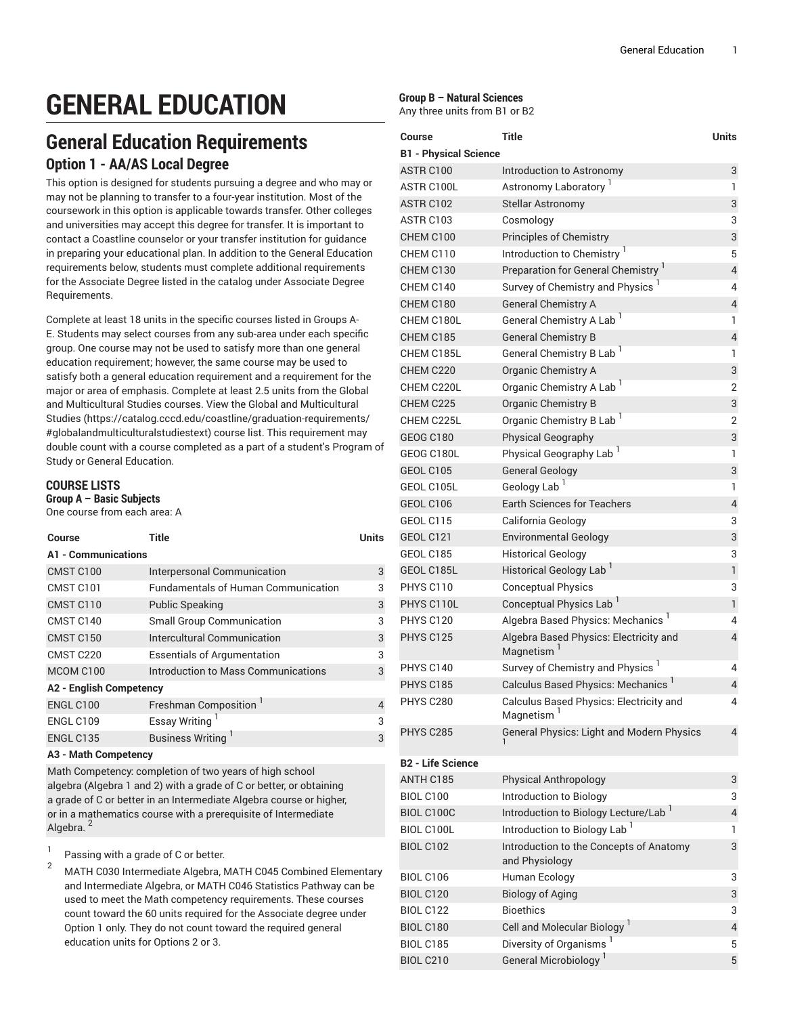# **GENERAL EDUCATION**

# **General Education Requirements Option 1 - AA/AS Local Degree**

This option is designed for students pursuing a degree and who may or may not be planning to transfer to a four-year institution. Most of the coursework in this option is applicable towards transfer. Other colleges and universities may accept this degree for transfer. It is important to contact a Coastline counselor or your transfer institution for guidance in preparing your educational plan. In addition to the General Education requirements below, students must complete additional requirements for the Associate Degree listed in the catalog under Associate Degree Requirements.

Complete at least 18 units in the specific courses listed in Groups A-E. Students may select courses from any sub-area under each specific group. One course may not be used to satisfy more than one general education requirement; however, the same course may be used to satisfy both a general education requirement and a requirement for the major or area of emphasis. Complete at least 2.5 units from the Global and Multicultural Studies courses. View the [Global and Multicultural](https://catalog.cccd.edu/coastline/graduation-requirements/#globalandmulticulturalstudiestext) [Studies](https://catalog.cccd.edu/coastline/graduation-requirements/#globalandmulticulturalstudiestext) ([https://catalog.cccd.edu/coastline/graduation-requirements/](https://catalog.cccd.edu/coastline/graduation-requirements/#globalandmulticulturalstudiestext) [#globalandmulticulturalstudiestext](https://catalog.cccd.edu/coastline/graduation-requirements/#globalandmulticulturalstudiestext)) course list. This requirement may double count with a course completed as a part of a student's Program of Study or General Education.

# **COURSE LISTS**

**Group A – Basic Subjects**

| One course from each area: A |
|------------------------------|
|------------------------------|

| Course                         | Title                                      | Units |  |
|--------------------------------|--------------------------------------------|-------|--|
| A1 - Communications            |                                            |       |  |
| CMST C100                      | Interpersonal Communication                | 3     |  |
| CMST C101                      | <b>Fundamentals of Human Communication</b> | 3     |  |
| CMST C110                      | <b>Public Speaking</b>                     | 3     |  |
| CMST C140                      | Small Group Communication                  | 3     |  |
| CMST <sub>C150</sub>           | Intercultural Communication                | 3     |  |
| CMST C220                      | <b>Essentials of Argumentation</b>         | 3     |  |
| MCOM C100                      | Introduction to Mass Communications        | 3     |  |
| <b>A2 - English Competency</b> |                                            |       |  |
| ENGL C100                      | Freshman Composition                       | 4     |  |
| <b>ENGL C109</b>               | <b>Essay Writing</b>                       | 3     |  |
| ENGL C135                      | Business Writing <sup>1</sup>              | 3     |  |
|                                |                                            |       |  |

#### **A3 - Math Competency**

Math Competency: completion of two years of high school algebra (Algebra 1 and 2) with a grade of C or better, or obtaining a grade of C or better in an Intermediate Algebra course or higher, or in a mathematics course with a prerequisite of Intermediate Algebra.<sup>2</sup>

- 1 Passing with a grade of C or better.
- <sup>2</sup> MATH C030 Intermediate Algebra, MATH C045 Combined Elementary and Intermediate Algebra, or MATH C046 Statistics Pathway can be used to meet the Math competency requirements. These courses count toward the 60 units required for the Associate degree under Option 1 only. They do not count toward the required general education units for Options 2 or 3.

#### **Group B – Natural Sciences**

Any three units from B1 or B2

| <b>Course</b>                | Title                                                             | <b>Units</b>   |
|------------------------------|-------------------------------------------------------------------|----------------|
| <b>B1 - Physical Science</b> |                                                                   |                |
| ASTR C100                    | Introduction to Astronomy                                         | 3              |
| ASTR C100L                   | Astronomy Laboratory                                              | 1              |
| ASTR C102                    | <b>Stellar Astronomy</b>                                          | 3              |
| ASTR C103                    | Cosmology                                                         | 3              |
| CHEM C100                    | <b>Principles of Chemistry</b>                                    | 3              |
| CHEM C110                    | Introduction to Chemistry <sup>1</sup>                            | 5              |
| CHEM C130                    | Preparation for General Chemistry <sup>1</sup>                    | 4              |
| CHEM C140                    | Survey of Chemistry and Physics                                   | 4              |
| CHEM C180                    | <b>General Chemistry A</b>                                        | 4              |
| CHEM C180L                   | General Chemistry A Lab <sup>1</sup>                              | 1              |
| CHEM C185                    | <b>General Chemistry B</b>                                        | $\sqrt{4}$     |
| CHEM C185L                   | General Chemistry B Lab <sup>1</sup>                              | 1              |
| CHEM C220                    | Organic Chemistry A                                               | 3              |
| CHEM C220L                   | Organic Chemistry A Lab <sup>1</sup>                              | 2              |
| CHEM C225                    | <b>Organic Chemistry B</b>                                        | 3              |
| CHEM C225L                   | Organic Chemistry B Lab <sup>1</sup>                              | 2              |
| <b>GEOG C180</b>             | <b>Physical Geography</b>                                         | 3              |
| GEOG C180L                   | Physical Geography Lab <sup>1</sup>                               | 1              |
| <b>GEOL C105</b>             | <b>General Geology</b>                                            | 3              |
| GEOL C105L                   | Geology Lab <sup>1</sup>                                          | 1              |
| GEOL C106                    | <b>Earth Sciences for Teachers</b>                                | $\overline{4}$ |
| GEOL C115                    | California Geology                                                | 3              |
| <b>GEOL C121</b>             | <b>Environmental Geology</b>                                      | 3              |
| GEOL C185                    | <b>Historical Geology</b>                                         | 3              |
| GEOL C185L                   | Historical Geology Lab <sup>1</sup>                               | $\mathbf{1}$   |
| PHYS C110                    | <b>Conceptual Physics</b>                                         | 3              |
| PHYS C110L                   | Conceptual Physics Lab <sup>1</sup>                               | 1              |
| <b>PHYS C120</b>             | Algebra Based Physics: Mechanics <sup>1</sup>                     | 4              |
| <b>PHYS C125</b>             | Algebra Based Physics: Electricity and<br>Magnetism <sup>1</sup>  | 4              |
| PHYS C140                    | Survey of Chemistry and Physics                                   | 4              |
| <b>PHYS C185</b>             | Calculus Based Physics: Mechanics                                 | 4              |
| PHYS C280                    | Calculus Based Physics: Electricity and<br>Magnetism <sup>1</sup> | 4              |
| PHYS C285                    | General Physics: Light and Modern Physics                         | 4              |
| <b>B2 - Life Science</b>     |                                                                   |                |
| ANTH C185                    | <b>Physical Anthropology</b>                                      | 3              |
| <b>BIOL C100</b>             | Introduction to Biology                                           | 3              |
| BIOL C100C                   | Introduction to Biology Lecture/Lab <sup>1</sup>                  | 4              |
| BIOL C100L                   | Introduction to Biology Lab <sup>1</sup>                          | 1              |
| <b>BIOL C102</b>             | Introduction to the Concepts of Anatomy<br>and Physiology         | 3              |
| <b>BIOL C106</b>             | Human Ecology                                                     | 3              |
| <b>BIOL C120</b>             | <b>Biology of Aging</b>                                           | 3              |
| <b>BIOL C122</b>             | <b>Bioethics</b>                                                  | 3              |
| <b>BIOL C180</b>             | Cell and Molecular Biology <sup>1</sup>                           | 4              |
| <b>BIOL C185</b>             | Diversity of Organisms <sup>1</sup>                               | 5              |
| <b>BIOL C210</b>             | General Microbiology <sup>1</sup>                                 | 5              |
|                              |                                                                   |                |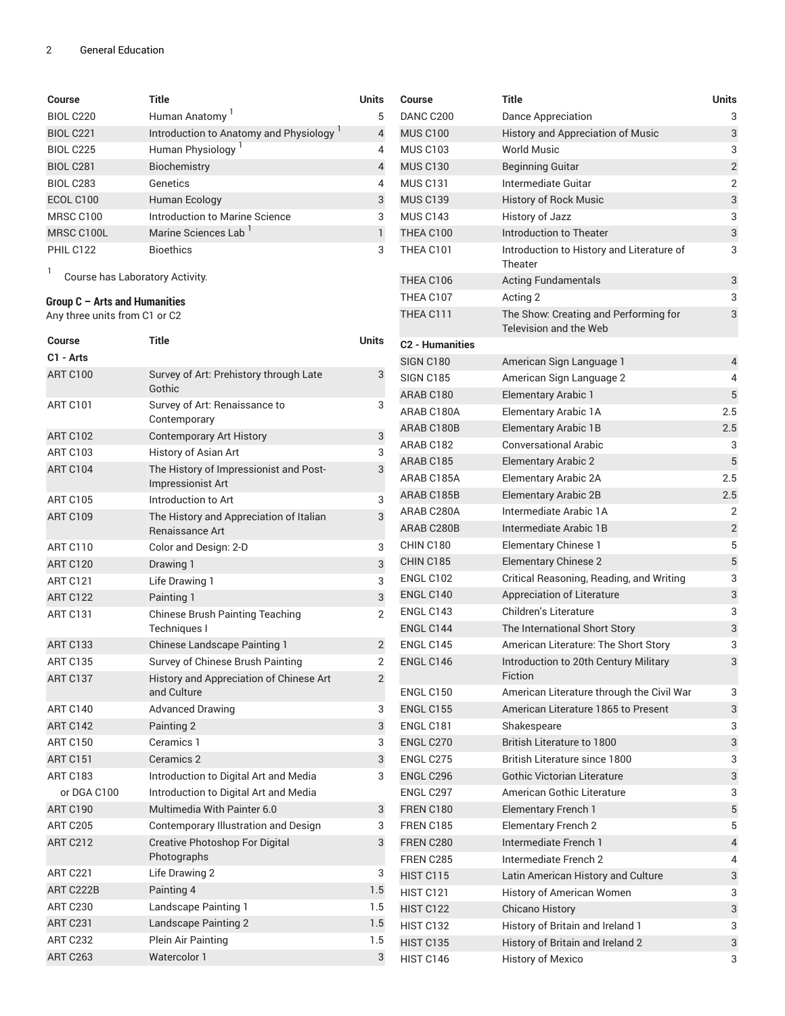| Course           | Title                                  | <b>Units</b>   |
|------------------|----------------------------------------|----------------|
| <b>BIOL C220</b> | Human Anatomy <sup>1</sup>             | 5              |
| <b>BIOL C221</b> | Introduction to Anatomy and Physiology | $\overline{4}$ |
| <b>BIOL C225</b> | Human Physiology <sup>1</sup>          | $\overline{4}$ |
| <b>BIOL C281</b> | Biochemistry                           | $\overline{4}$ |
| <b>BIOL C283</b> | Genetics                               | $\overline{4}$ |
| ECOL C100        | Human Ecology                          | 3              |
| MRSC C100        | Introduction to Marine Science         | 3              |
| MRSC C100L       | Marine Sciences Lab <sup>1</sup>       | $\mathbf{1}$   |
| PHIL C122        | <b>Bioethics</b>                       | 3              |

1 Course has Laboratory Activity.

## **Group C – Arts and Humanities**

Any three units from C1 or C2

| Course          | Title                                                              | Units          |
|-----------------|--------------------------------------------------------------------|----------------|
| C1 - Arts       |                                                                    |                |
| <b>ART C100</b> | Survey of Art: Prehistory through Late<br>Gothic                   | 3              |
| <b>ART C101</b> | Survey of Art: Renaissance to<br>Contemporary                      | 3              |
| <b>ART C102</b> | <b>Contemporary Art History</b>                                    | 3              |
| <b>ART C103</b> | History of Asian Art                                               | 3              |
| <b>ART C104</b> | The History of Impressionist and Post-<br><b>Impressionist Art</b> | 3              |
| <b>ART C105</b> | Introduction to Art                                                | 3              |
| <b>ART C109</b> | The History and Appreciation of Italian<br>Renaissance Art         | 3              |
| <b>ART C110</b> | Color and Design: 2-D                                              | 3              |
| <b>ART C120</b> | Drawing 1                                                          | 3              |
| <b>ART C121</b> | Life Drawing 1                                                     | 3              |
| <b>ART C122</b> | Painting 1                                                         | 3              |
| <b>ART C131</b> | <b>Chinese Brush Painting Teaching</b><br>Techniques I             | $\overline{2}$ |
| <b>ART C133</b> | <b>Chinese Landscape Painting 1</b>                                | $\overline{2}$ |
| <b>ART C135</b> | Survey of Chinese Brush Painting                                   | $\overline{2}$ |
| ART C137        | History and Appreciation of Chinese Art<br>and Culture             | $\overline{2}$ |
| <b>ART C140</b> | <b>Advanced Drawing</b>                                            | 3              |
| ART C142        | Painting 2                                                         | 3              |
| <b>ART C150</b> | Ceramics 1                                                         | 3              |
| <b>ART C151</b> | Ceramics 2                                                         | 3              |
| <b>ART C183</b> | Introduction to Digital Art and Media                              | 3              |
| or DGA C100     | Introduction to Digital Art and Media                              |                |
| <b>ART C190</b> | Multimedia With Painter 6.0                                        | 3              |
| <b>ART C205</b> | Contemporary Illustration and Design                               | 3              |
| <b>ART C212</b> | Creative Photoshop For Digital<br>Photographs                      | 3              |
| <b>ART C221</b> | Life Drawing 2                                                     | 3              |
| ART C222B       | Painting 4                                                         | 1.5            |
| <b>ART C230</b> | Landscape Painting 1                                               | 1.5            |
| <b>ART C231</b> | Landscape Painting 2                                               | 1.5            |
| ART C232        | Plein Air Painting                                                 | 1.5            |
| <b>ART C263</b> | Watercolor 1                                                       | 3              |

| Course                 | <b>Title</b>                                                    | <b>Units</b>   |
|------------------------|-----------------------------------------------------------------|----------------|
| DANC C200              | Dance Appreciation                                              | 3              |
| <b>MUS C100</b>        | <b>History and Appreciation of Music</b>                        | 3              |
| <b>MUS C103</b>        | <b>World Music</b>                                              | 3              |
| <b>MUS C130</b>        | <b>Beginning Guitar</b>                                         | $\overline{c}$ |
| <b>MUS C131</b>        | Intermediate Guitar                                             | 2              |
| <b>MUS C139</b>        | History of Rock Music                                           | 3              |
| <b>MUS C143</b>        | History of Jazz                                                 | 3              |
| THEA C100              | Introduction to Theater                                         | 3              |
| THEA C101              | Introduction to History and Literature of<br>Theater            | 3              |
| THEA C106              | <b>Acting Fundamentals</b>                                      | 3              |
| THEA C107              | Acting 2                                                        | 3              |
| THEA C111              | The Show: Creating and Performing for<br>Television and the Web | 3              |
| <b>C2 - Humanities</b> |                                                                 |                |
| <b>SIGN C180</b>       | American Sign Language 1                                        | 4              |
| <b>SIGN C185</b>       | American Sign Language 2                                        | 4              |
| ARAB C180              | <b>Elementary Arabic 1</b>                                      | 5              |
| ARAB C180A             | <b>Elementary Arabic 1A</b>                                     | 2.5            |
| ARAB C180B             | <b>Elementary Arabic 1B</b>                                     | 2.5            |
| ARAB C182              | <b>Conversational Arabic</b>                                    | 3              |
| ARAB C185              | <b>Elementary Arabic 2</b>                                      | 5              |
| ARAB C185A             | <b>Elementary Arabic 2A</b>                                     | 2.5            |
| ARAB C185B             | <b>Elementary Arabic 2B</b>                                     | 2.5            |
| ARAB C280A             | Intermediate Arabic 1A                                          | 2              |
| ARAB C280B             | Intermediate Arabic 1B                                          | $\overline{2}$ |
| CHIN C180              | <b>Elementary Chinese 1</b>                                     | 5              |
| <b>CHIN C185</b>       | <b>Elementary Chinese 2</b>                                     | 5              |
| ENGL C102              | Critical Reasoning, Reading, and Writing                        | 3              |
| ENGL C140              | Appreciation of Literature                                      | 3              |
| ENGL C143              | <b>Children's Literature</b>                                    | 3              |
| ENGL C144              | The International Short Story                                   | 3              |
| ENGL C145              | American Literature: The Short Story                            | 3              |
| ENGL C146              | Introduction to 20th Century Military<br>Fiction                | 3              |
| <b>ENGL C150</b>       | American Literature through the Civil War                       | 3              |
| <b>ENGL C155</b>       | American Literature 1865 to Present                             | 3              |
| ENGL C181              | Shakespeare                                                     | 3              |
| ENGL C270              | <b>British Literature to 1800</b>                               | 3              |
| ENGL C275              | British Literature since 1800                                   | 3              |
| ENGL C296              | Gothic Victorian Literature                                     | 3              |
| ENGL C297              | American Gothic Literature                                      | 3              |
| <b>FREN C180</b>       | <b>Elementary French 1</b>                                      | 5              |
| <b>FREN C185</b>       | <b>Elementary French 2</b>                                      | 5              |
| <b>FREN C280</b>       | Intermediate French 1                                           | 4              |
| FREN C285              | Intermediate French 2                                           | 4              |
| <b>HIST C115</b>       | Latin American History and Culture                              | 3              |
| <b>HIST C121</b>       | History of American Women                                       | 3              |
| HIST C122              |                                                                 | 3              |
| HIST C132              | <b>Chicano History</b><br>History of Britain and Ireland 1      | 3              |
| <b>HIST C135</b>       |                                                                 |                |
|                        | History of Britain and Ireland 2                                | 3<br>3         |
| HIST C146              | <b>History of Mexico</b>                                        |                |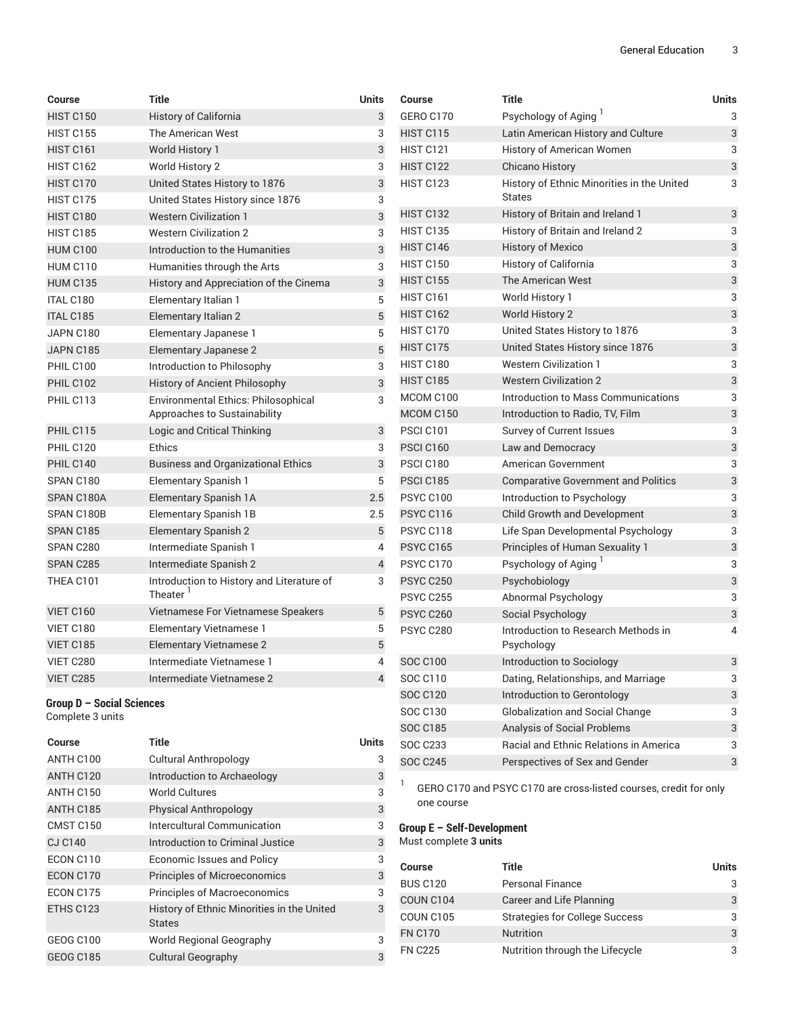| <b>Course</b>             | Title                                     | <b>Units</b>              | <b>Course</b>    | Title                                         | <b>Units</b> |
|---------------------------|-------------------------------------------|---------------------------|------------------|-----------------------------------------------|--------------|
| <b>HIST C150</b>          | History of California                     | 3                         | <b>GERO C170</b> | Psychology of Aging                           | 3            |
| <b>HIST C155</b>          | The American West                         | 3                         | <b>HIST C115</b> | Latin American History and Culture            | 3            |
| HIST C <sub>161</sub>     | World History 1                           | $\ensuremath{\mathsf{3}}$ | <b>HIST C121</b> | History of American Women                     | 3            |
| HIST C162                 | World History 2                           | 3                         | <b>HIST C122</b> | <b>Chicano History</b>                        | 3            |
| HIST C170                 | United States History to 1876             | $\ensuremath{\mathsf{3}}$ | HIST C123        | History of Ethnic Minorities in the United    | 3            |
| HIST C175                 | United States History since 1876          | 3                         |                  | States                                        |              |
| HIST C180                 | <b>Western Civilization 1</b>             | 3                         | HIST C132        | History of Britain and Ireland 1              | 3            |
| <b>HIST C185</b>          | <b>Western Civilization 2</b>             | 3                         | <b>HIST C135</b> | History of Britain and Ireland 2              | 3            |
| <b>HUM C100</b>           | Introduction to the Humanities            | $\mathsf 3$               | HIST C146        | <b>History of Mexico</b>                      | 3            |
| <b>HUM C110</b>           | Humanities through the Arts               | 3                         | <b>HIST C150</b> | History of California                         | 3            |
| <b>HUM C135</b>           | History and Appreciation of the Cinema    | $\overline{3}$            | <b>HIST C155</b> | The American West                             | 3            |
| <b>ITAL C180</b>          | Elementary Italian 1                      | 5                         | HIST C161        | World History 1                               | 3            |
| <b>ITAL C185</b>          | Elementary Italian 2                      | $\overline{5}$            | <b>HIST C162</b> | <b>World History 2</b>                        | 3            |
| JAPN C180                 | Elementary Japanese 1                     | 5                         | HIST C170        | United States History to 1876                 | 3            |
| JAPN C185                 | <b>Elementary Japanese 2</b>              | $\overline{5}$            | HIST C175        | United States History since 1876              | 3            |
| PHIL C100                 | Introduction to Philosophy                | 3                         | HIST C180        | <b>Western Civilization 1</b>                 | 3            |
| <b>PHIL C102</b>          | History of Ancient Philosophy             | $\overline{3}$            | <b>HIST C185</b> | <b>Western Civilization 2</b>                 | 3            |
| PHIL C113                 | Environmental Ethics: Philosophical       | 3                         | MCOM C100        | Introduction to Mass Communications           | 3            |
|                           | Approaches to Sustainability              |                           | MCOM C150        | Introduction to Radio, TV, Film               | 3            |
| PHIL C115                 | Logic and Critical Thinking               | 3                         | PSCI C101        | Survey of Current Issues                      | 3            |
| PHIL C120                 | <b>Ethics</b>                             | 3                         | PSCI C160        | Law and Democracy                             | 3            |
| PHIL C140                 | <b>Business and Organizational Ethics</b> | $\ensuremath{\mathsf{3}}$ | <b>PSCI C180</b> | American Government                           | 3            |
| SPAN C180                 | Elementary Spanish 1                      | 5                         | PSCI C185        | <b>Comparative Government and Politics</b>    | 3            |
| SPAN C180A                | <b>Elementary Spanish 1A</b>              | 2.5                       | <b>PSYC C100</b> | Introduction to Psychology                    | 3            |
| SPAN C180B                | <b>Elementary Spanish 1B</b>              | 2.5                       | PSYC C116        | Child Growth and Development                  | 3            |
| SPAN C185                 | Elementary Spanish 2                      | 5                         | PSYC C118        | Life Span Developmental Psychology            | 3            |
| SPAN C280                 | Intermediate Spanish 1                    | 4                         | <b>PSYC C165</b> | Principles of Human Sexuality 1               | 3            |
| SPAN C285                 | Intermediate Spanish 2                    | $\overline{4}$            | PSYC C170        | Psychology of Aging                           | 3            |
| THEA C101                 | Introduction to History and Literature of | 3                         | <b>PSYC C250</b> | Psychobiology                                 | 3            |
|                           | Theater <sup>1</sup>                      |                           | <b>PSYC C255</b> | Abnormal Psychology                           | 3            |
| VIET C160                 | Vietnamese For Vietnamese Speakers        | 5                         | <b>PSYC C260</b> | Social Psychology                             | 3            |
| VIET C180                 | <b>Elementary Vietnamese 1</b>            | 5                         | PSYC C280        | Introduction to Research Methods in           | 4            |
| VIET C185                 | <b>Elementary Vietnamese 2</b>            | $\overline{5}$            |                  | Psychology                                    |              |
| VIET C280                 | Intermediate Vietnamese 1                 | $\overline{4}$            | <b>SOC C100</b>  | Introduction to Sociology                     | 3            |
| VIET C285                 | Intermediate Vietnamese 2                 | 4                         | SOC C110         | Dating, Relationships, and Marriage           | 3            |
| Group D - Social Sciences |                                           |                           | <b>SOC C120</b>  | Introduction to Gerontology                   | 3            |
| Complete 3 units          |                                           |                           | SOC C130         | <b>Globalization and Social Change</b>        | 3            |
|                           |                                           |                           | <b>SOC C185</b>  | Analysis of Social Problems                   | 3            |
| Course                    | <b>Title</b>                              | <b>Units</b>              | <b>SOC C233</b>  | <b>Racial and Ethnic Relations in America</b> | 3            |
| ANTH C100                 | <b>Cultural Anthropology</b>              | 3                         | <b>SOC C245</b>  | Perspectives of Sex and Gender                | 3            |

ANTH C120 Introduction to Archaeology 3 ANTH C150 World Cultures 3 ANTH C185 Physical Anthropology 3 CMST C150 Intercultural Communication 3 CJ C140 Introduction to Criminal Justice 3 ECON C110 Economic Issues and Policy 3 ECON C170 Principles of Microeconomics 3 ECON C175 Principles of Macroeconomics 3

ETHS C123 History of Ethnic Minorities in the United

GEOG C100 World Regional Geography 3 GEOG C185 Cultural Geography 3

States

1 GERO C170 and PSYC C170 are cross-listed courses, credit for only one course

### **Group E – Self-Development**

Must complete **3 units**

3

| <b>Course</b>   | Title                                 | <b>Units</b> |
|-----------------|---------------------------------------|--------------|
| <b>BUS C120</b> | <b>Personal Finance</b>               | 3            |
| COUN C104       | Career and Life Planning              | 3            |
| COUN C105       | <b>Strategies for College Success</b> | 3            |
| <b>FN C170</b>  | <b>Nutrition</b>                      | 3            |
| <b>FN C225</b>  | Nutrition through the Lifecycle       | 3            |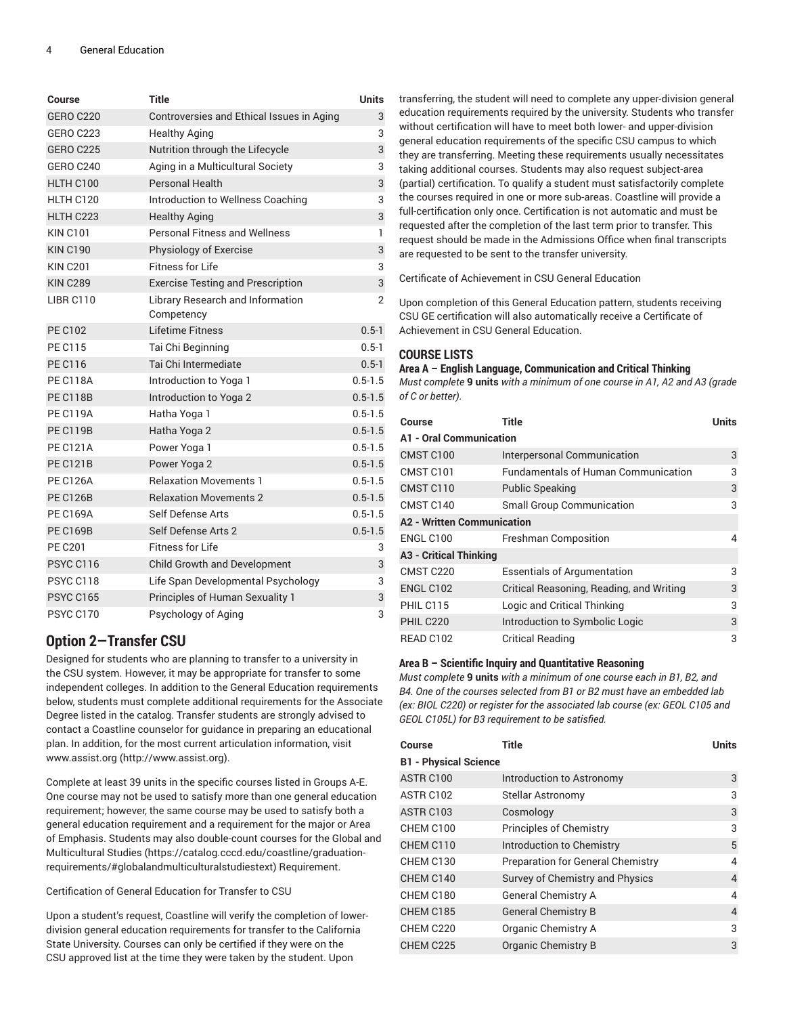| Course           | Title                                          | <b>Units</b>   |
|------------------|------------------------------------------------|----------------|
| <b>GERO C220</b> | Controversies and Ethical Issues in Aging      | 3              |
| <b>GERO C223</b> | <b>Healthy Aging</b>                           | 3              |
| <b>GERO C225</b> | Nutrition through the Lifecycle                | 3              |
| <b>GERO C240</b> | Aging in a Multicultural Society               | 3              |
| HLTH C100        | <b>Personal Health</b>                         | 3              |
| HLTH C120        | Introduction to Wellness Coaching              | 3              |
| HLTH C223        | <b>Healthy Aging</b>                           | 3              |
| <b>KIN C101</b>  | <b>Personal Fitness and Wellness</b>           | $\mathbf{1}$   |
| <b>KIN C190</b>  | Physiology of Exercise                         | 3              |
| <b>KIN C201</b>  | <b>Fitness for Life</b>                        | 3              |
| <b>KIN C289</b>  | <b>Exercise Testing and Prescription</b>       | 3              |
| <b>LIBR C110</b> | Library Research and Information<br>Competency | $\overline{2}$ |
| <b>PE C102</b>   | Lifetime Fitness                               | $0.5 - 1$      |
| <b>PE C115</b>   | Tai Chi Beginning                              | $0.5 - 1$      |
| <b>PE C116</b>   | Tai Chi Intermediate                           | $0.5 - 1$      |
| <b>PE C118A</b>  | Introduction to Yoga 1                         | $0.5 - 1.5$    |
| <b>PE C118B</b>  | Introduction to Yoga 2                         | $0.5 - 1.5$    |
| <b>PE C119A</b>  | Hatha Yoga 1                                   | $0.5 - 1.5$    |
| <b>PE C119B</b>  | Hatha Yoga 2                                   | $0.5 - 1.5$    |
| <b>PE C121A</b>  | Power Yoga 1                                   | $0.5 - 1.5$    |
| <b>PE C121B</b>  | Power Yoga 2                                   | $0.5 - 1.5$    |
| <b>PE C126A</b>  | <b>Relaxation Movements 1</b>                  | $0.5 - 1.5$    |
| <b>PE C126B</b>  | <b>Relaxation Movements 2</b>                  | $0.5 - 1.5$    |
| <b>PE C169A</b>  | Self Defense Arts                              | $0.5 - 1.5$    |
| <b>PE C169B</b>  | Self Defense Arts 2                            | $0.5 - 1.5$    |
| <b>PE C201</b>   | <b>Fitness for Life</b>                        | 3              |
| <b>PSYC C116</b> | Child Growth and Development                   | 3              |
| PSYC C118        | Life Span Developmental Psychology             | 3              |
| <b>PSYC C165</b> | Principles of Human Sexuality 1                | 3              |
| <b>PSYC C170</b> | Psychology of Aging                            | 3              |

# **Option 2—Transfer CSU**

Designed for students who are planning to transfer to a university in the CSU system. However, it may be appropriate for transfer to some independent colleges. In addition to the General Education requirements below, students must complete additional requirements for the Associate Degree listed in the catalog. Transfer students are strongly advised to contact a Coastline counselor for guidance in preparing an educational plan. In addition, for the most current articulation information, visit [www.assist.org](http://www.assist.org) [\(http://www.assist.org\)](http://www.assist.org).

Complete at least 39 units in the specific courses listed in Groups A-E. One course may not be used to satisfy more than one general education requirement; however, the same course may be used to satisfy both a general education requirement and a requirement for the major or Area of Emphasis. Students may also double-count courses for the [Global and](https://catalog.cccd.edu/coastline/graduation-requirements/#globalandmulticulturalstudiestext) [Multicultural Studies \(https://catalog.cccd.edu/coastline/graduation](https://catalog.cccd.edu/coastline/graduation-requirements/#globalandmulticulturalstudiestext)[requirements/#globalandmulticulturalstudiestext](https://catalog.cccd.edu/coastline/graduation-requirements/#globalandmulticulturalstudiestext)) Requirement.

Certification of General Education for Transfer to CSU

Upon a student's request, Coastline will verify the completion of lowerdivision general education requirements for transfer to the California State University. Courses can only be certified if they were on the CSU approved list at the time they were taken by the student. Upon

transferring, the student will need to complete any upper-division general education requirements required by the university. Students who transfer without certification will have to meet both lower- and upper-division general education requirements of the specific CSU campus to which they are transferring. Meeting these requirements usually necessitates taking additional courses. Students may also request subject-area (partial) certification. To qualify a student must satisfactorily complete the courses required in one or more sub-areas. Coastline will provide a full-certification only once. Certification is not automatic and must be requested after the completion of the last term prior to transfer. This request should be made in the Admissions Office when final transcripts are requested to be sent to the transfer university.

Certificate of Achievement in CSU General Education

Upon completion of this General Education pattern, students receiving CSU GE certification will also automatically receive a Certificate of Achievement in CSU General Education.

#### **COURSE LISTS**

#### **Area A – English Language, Communication and Critical Thinking**

*Must complete* **9 units** *with a minimum of one course in A1, A2 and A3 (grade of C or better).*

| Course                            | <b>Title</b>                               | Units |  |
|-----------------------------------|--------------------------------------------|-------|--|
| <b>A1 - Oral Communication</b>    |                                            |       |  |
| CMST C100                         | <b>Interpersonal Communication</b>         | 3     |  |
| CMST C101                         | <b>Fundamentals of Human Communication</b> | 3     |  |
| CMST C110                         | <b>Public Speaking</b>                     | 3     |  |
| CMST C140                         | <b>Small Group Communication</b>           | 3     |  |
| <b>A2 - Written Communication</b> |                                            |       |  |
| ENGL C100                         | <b>Freshman Composition</b>                | 4     |  |
| <b>A3 - Critical Thinking</b>     |                                            |       |  |
| CMST <sub>C220</sub>              | <b>Essentials of Argumentation</b>         | 3     |  |
| <b>ENGL C102</b>                  | Critical Reasoning, Reading, and Writing   | 3     |  |
| PHIL C115                         | Logic and Critical Thinking                | 3     |  |
| PHIL C220                         | Introduction to Symbolic Logic             | 3     |  |
| READ C102                         | <b>Critical Reading</b>                    | 3     |  |

#### **Area B – Scientific Inquiry and Quantitative Reasoning**

*Must complete* **9 units** *with a minimum of one course each in B1, B2, and B4. One of the courses selected from B1 or B2 must have an embedded lab (ex: BIOL C220) or register for the associated lab course (ex: GEOL C105 and GEOL C105L) for B3 requirement to be satisfied.*

| Course                       | Title                                    | <b>Units</b> |
|------------------------------|------------------------------------------|--------------|
| <b>B1 - Physical Science</b> |                                          |              |
| ASTR C100                    | Introduction to Astronomy                | 3            |
| ASTR C102                    | Stellar Astronomy                        | 3            |
| ASTR C <sub>103</sub>        | Cosmology                                | 3            |
| CHEM C100                    | <b>Principles of Chemistry</b>           | 3            |
| CHEM C110                    | Introduction to Chemistry                | 5            |
| CHEM C130                    | <b>Preparation for General Chemistry</b> | 4            |
| CHEM C140                    | Survey of Chemistry and Physics          | 4            |
| CHEM C180                    | <b>General Chemistry A</b>               | 4            |
| CHEM C185                    | <b>General Chemistry B</b>               | 4            |
| CHEM C220                    | Organic Chemistry A                      | 3            |
| CHEM C225                    | Organic Chemistry B                      | 3            |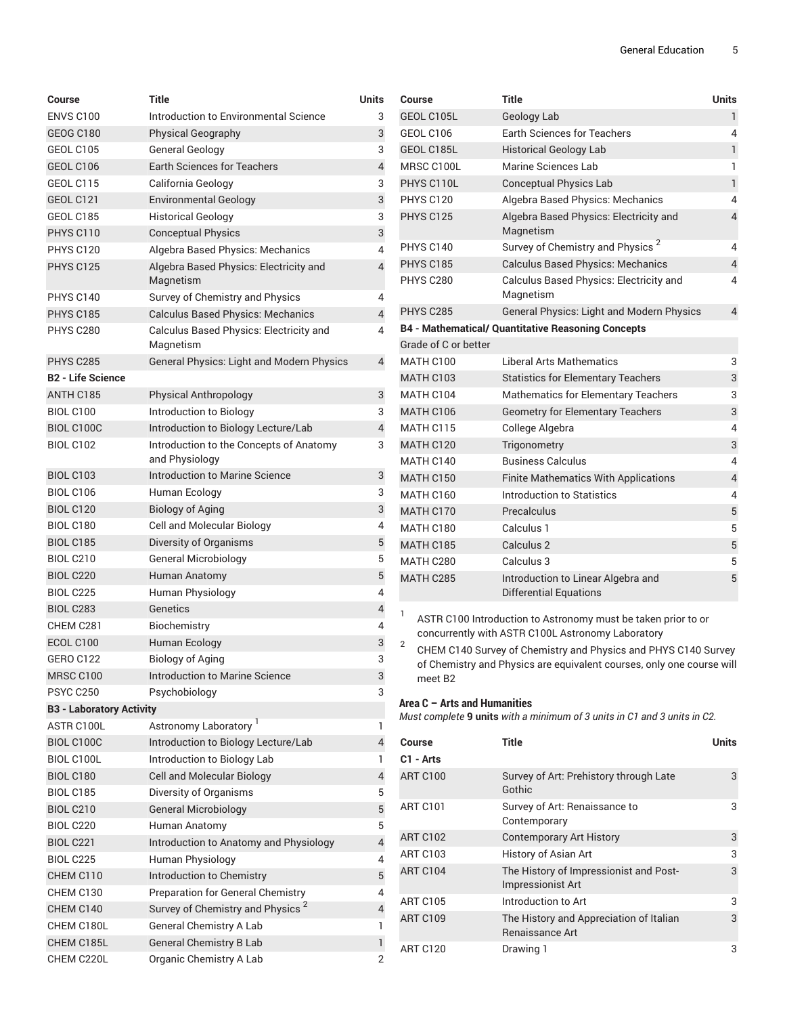| Course                          | <b>Title</b>                                              | <b>Units</b>   |
|---------------------------------|-----------------------------------------------------------|----------------|
| <b>ENVS C100</b>                | Introduction to Environmental Science                     | 3              |
| <b>GEOG C180</b>                | <b>Physical Geography</b>                                 | 3              |
| GEOL C105                       | General Geology                                           | 3              |
| GEOL C106                       | <b>Earth Sciences for Teachers</b>                        | $\overline{4}$ |
| GEOL C115                       | California Geology                                        | 3              |
| <b>GEOL C121</b>                | <b>Environmental Geology</b>                              | 3              |
| GEOL C185                       | <b>Historical Geology</b>                                 | 3              |
| PHYS C110                       | <b>Conceptual Physics</b>                                 | 3              |
| <b>PHYS C120</b>                | Algebra Based Physics: Mechanics                          | 4              |
| <b>PHYS C125</b>                | Algebra Based Physics: Electricity and<br>Magnetism       | $\overline{4}$ |
| PHYS C140                       | Survey of Chemistry and Physics                           | 4              |
| PHYS C185                       | <b>Calculus Based Physics: Mechanics</b>                  | 4              |
| PHYS C280                       | Calculus Based Physics: Electricity and<br>Magnetism      | 4              |
| PHYS C285                       | <b>General Physics: Light and Modern Physics</b>          | 4              |
| <b>B2 - Life Science</b>        |                                                           |                |
| ANTH C185                       | Physical Anthropology                                     | 3              |
| <b>BIOL C100</b>                | Introduction to Biology                                   | 3              |
| BIOL C100C                      | Introduction to Biology Lecture/Lab                       | $\overline{4}$ |
| <b>BIOL C102</b>                | Introduction to the Concepts of Anatomy<br>and Physiology | 3              |
| <b>BIOL C103</b>                | Introduction to Marine Science                            | 3              |
| <b>BIOL C106</b>                | Human Ecology                                             | 3              |
| <b>BIOL C120</b>                | <b>Biology of Aging</b>                                   | 3              |
| <b>BIOL C180</b>                | Cell and Molecular Biology                                | 4              |
| <b>BIOL C185</b>                | Diversity of Organisms                                    | 5              |
| <b>BIOL C210</b>                | <b>General Microbiology</b>                               | 5              |
| <b>BIOL C220</b>                | Human Anatomy                                             | 5              |
| <b>BIOL C225</b>                | Human Physiology                                          | 4              |
| <b>BIOL C283</b>                | Genetics                                                  | $\overline{4}$ |
| CHEM C281                       | Biochemistry                                              | 4              |
| ECOL C100                       | Human Ecology                                             | 3              |
| <b>GERO C122</b>                | <b>Biology of Aging</b>                                   | 3              |
| MRSC C100                       | Introduction to Marine Science                            | 3              |
| <b>PSYC C250</b>                | Psychobiology                                             | 3              |
| <b>B3 - Laboratory Activity</b> |                                                           |                |
| ASTR C100L                      | Astronomy Laboratory                                      | 1              |
| BIOL C100C                      | Introduction to Biology Lecture/Lab                       | $\sqrt{4}$     |
| BIOL C100L                      | Introduction to Biology Lab                               | 1              |
| <b>BIOL C180</b>                | <b>Cell and Molecular Biology</b>                         | $\overline{4}$ |
| <b>BIOL C185</b>                | Diversity of Organisms                                    | 5              |
| <b>BIOL C210</b>                | <b>General Microbiology</b>                               | $\overline{5}$ |
| <b>BIOL C220</b>                | Human Anatomy                                             | 5              |
| <b>BIOL C221</b>                | Introduction to Anatomy and Physiology                    | $\overline{4}$ |
| <b>BIOL C225</b>                | Human Physiology                                          | 4              |
| CHEM C110                       | Introduction to Chemistry                                 | 5              |
| CHEM C130                       | <b>Preparation for General Chemistry</b>                  | 4              |
| CHEM C140                       | Survey of Chemistry and Physics <sup>2</sup>              | $\overline{4}$ |
| CHEM C180L                      | <b>General Chemistry A Lab</b>                            | 1              |
| CHEM C185L                      | <b>General Chemistry B Lab</b>                            | 1              |
| CHEM C220L                      | Organic Chemistry A Lab                                   | 2              |

| Course               | <b>Title</b>                                                                                                       | <b>Units</b>            |
|----------------------|--------------------------------------------------------------------------------------------------------------------|-------------------------|
| GEOL C105L           | <b>Geology Lab</b>                                                                                                 | 1                       |
| <b>GEOL C106</b>     | <b>Earth Sciences for Teachers</b>                                                                                 | 4                       |
| GEOL C185L           | <b>Historical Geology Lab</b>                                                                                      | 1                       |
| MRSC C100L           | <b>Marine Sciences Lab</b>                                                                                         | 1                       |
| PHYS C110L           | <b>Conceptual Physics Lab</b>                                                                                      | $\mathbf{1}$            |
| <b>PHYS C120</b>     | Algebra Based Physics: Mechanics                                                                                   | 4                       |
| <b>PHYS C125</b>     | Algebra Based Physics: Electricity and<br>Magnetism                                                                | 4                       |
| PHYS C140            | Survey of Chemistry and Physics <sup>2</sup>                                                                       | 4                       |
| <b>PHYS C185</b>     | <b>Calculus Based Physics: Mechanics</b>                                                                           | $\overline{4}$          |
| PHYS C280            | Calculus Based Physics: Electricity and<br>Magnetism                                                               | 4                       |
| <b>PHYS C285</b>     | <b>General Physics: Light and Modern Physics</b>                                                                   | 4                       |
|                      | <b>B4 - Mathematical/ Quantitative Reasoning Concepts</b>                                                          |                         |
| Grade of C or better |                                                                                                                    |                         |
| MATH C100            | Liberal Arts Mathematics                                                                                           | 3                       |
| <b>MATH C103</b>     | <b>Statistics for Elementary Teachers</b>                                                                          | 3                       |
| MATH C104            | <b>Mathematics for Elementary Teachers</b>                                                                         | 3                       |
| MATH C106            | <b>Geometry for Elementary Teachers</b>                                                                            | 3                       |
| MATH C115            | College Algebra                                                                                                    | 4                       |
| MATH C120            | Trigonometry                                                                                                       | 3                       |
| MATH C140            | <b>Business Calculus</b>                                                                                           | 4                       |
| <b>MATH C150</b>     | <b>Finite Mathematics With Applications</b>                                                                        | $\overline{\mathbf{4}}$ |
| MATH C160            | Introduction to Statistics                                                                                         | 4                       |
| MATH C170            | Precalculus                                                                                                        | 5                       |
| MATH C180            | Calculus 1                                                                                                         | 5                       |
| <b>MATH C185</b>     | Calculus 2                                                                                                         | 5                       |
| MATH C280            | Calculus 3                                                                                                         | 5                       |
| MATH C285            | Introduction to Linear Algebra and<br><b>Differential Equations</b>                                                | 5                       |
| 1<br>C               | ASTR C100 Introduction to Astronomy must be taken prior to or<br>concurrently with ASTR C100L Astronomy Laboratory |                         |

 $^{\rm 2}$   $\,$  CHEM C140 Survey of Chemistry and Physics and PHYS C140 Survey of Chemistry and Physics are equivalent courses, only one course will meet B2

#### **Area C – Arts and Humanities**

*Must complete* **9 units** *with a minimum of 3 units in C1 and 3 units in C2.*

| Course          | <b>Title</b>                                                       | <b>Units</b> |
|-----------------|--------------------------------------------------------------------|--------------|
| C1 - Arts       |                                                                    |              |
| <b>ART C100</b> | Survey of Art: Prehistory through Late<br>Gothic                   | 3            |
| <b>ART C101</b> | Survey of Art: Renaissance to<br>Contemporary                      | 3            |
| <b>ART C102</b> | <b>Contemporary Art History</b>                                    | 3            |
| <b>ART C103</b> | History of Asian Art                                               | 3            |
| <b>ART C104</b> | The History of Impressionist and Post-<br><b>Impressionist Art</b> | 3            |
| <b>ART C105</b> | Introduction to Art                                                | 3            |
| <b>ART C109</b> | The History and Appreciation of Italian<br>Renaissance Art         | 3            |
| <b>ART C120</b> | Drawing 1                                                          | 3            |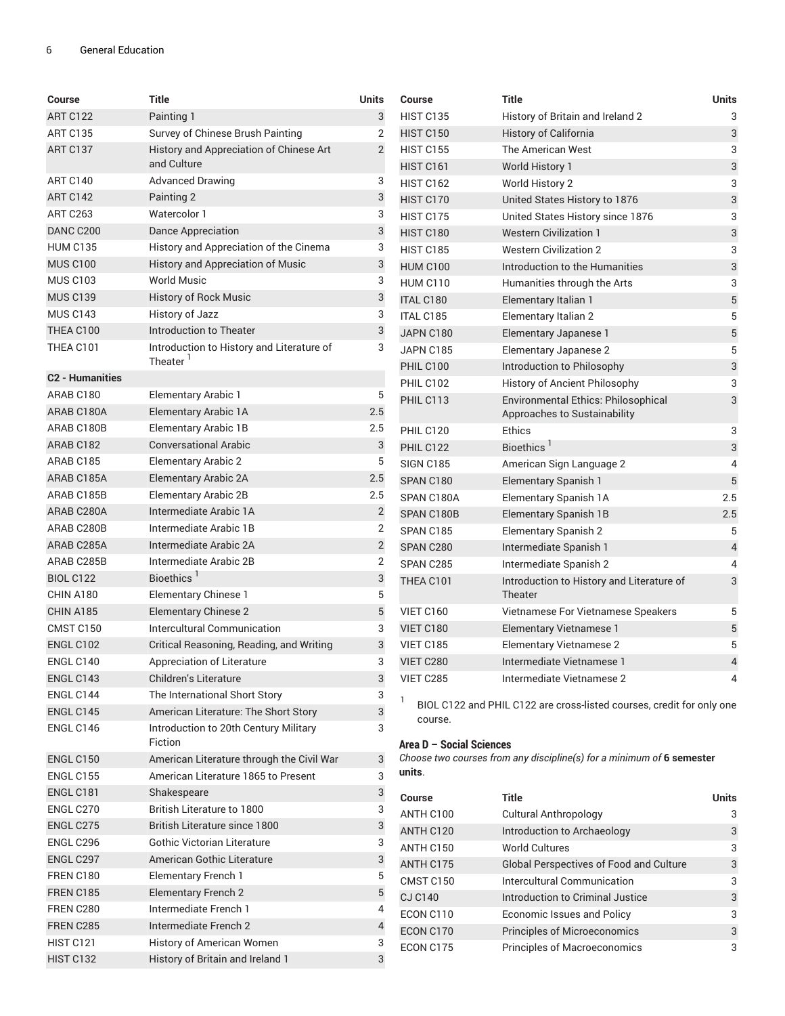| Course                 | Title                                                             | <b>Units</b>   |
|------------------------|-------------------------------------------------------------------|----------------|
| <b>ART C122</b>        | Painting 1                                                        | 3              |
| <b>ART C135</b>        | Survey of Chinese Brush Painting                                  | 2              |
| ART C137               | History and Appreciation of Chinese Art<br>and Culture            | $\overline{2}$ |
| <b>ART C140</b>        | <b>Advanced Drawing</b>                                           | 3              |
| ART C142               | Painting 2                                                        | 3              |
| <b>ART C263</b>        | Watercolor 1                                                      | 3              |
| DANC C200              | Dance Appreciation                                                | 3              |
| <b>HUM C135</b>        | History and Appreciation of the Cinema                            | 3              |
| <b>MUS C100</b>        | History and Appreciation of Music                                 | 3              |
| <b>MUS C103</b>        | <b>World Music</b>                                                | 3              |
| <b>MUS C139</b>        | History of Rock Music                                             | 3              |
| <b>MUS C143</b>        | History of Jazz                                                   | 3              |
| THEA C100              | Introduction to Theater                                           | 3              |
| THEA C101              | Introduction to History and Literature of<br>Theater <sup>1</sup> | 3              |
| <b>C2 - Humanities</b> |                                                                   |                |
| ARAB <sub>C180</sub>   | Elementary Arabic 1                                               | 5              |
| ARAB C180A             | <b>Elementary Arabic 1A</b>                                       | 2.5            |
| ARAB C180B             | <b>Elementary Arabic 1B</b>                                       | 2.5            |
| ARAB C182              | Conversational Arabic                                             | 3              |
| ARAR C185              | <b>Elementary Arabic 2</b>                                        | 5              |
| ARAB C185A             | <b>Elementary Arabic 2A</b>                                       | 2.5            |
| ARAB C185B             | <b>Elementary Arabic 2B</b>                                       | 2.5            |
| ARAB C280A             | Intermediate Arabic 1A                                            | $\overline{2}$ |
| ARAB C280B             | Intermediate Arabic 1B                                            | 2              |
| ARAB C285A             | Intermediate Arabic 2A                                            | 2              |
| ARAB C285B             | Intermediate Arabic 2B                                            | $\overline{2}$ |
| <b>BIOL C122</b>       | Bioethics <sup>1</sup>                                            | 3              |
| CHIN A180              | Elementary Chinese 1                                              | 5              |
| CHIN A185              | <b>Elementary Chinese 2</b>                                       | 5              |
| <b>CMST C150</b>       | Intercultural Communication                                       | 3              |
| <b>ENGL C102</b>       | Critical Reasoning, Reading, and Writing                          | 3              |
| ENGL C140              | Appreciation of Literature                                        | 3              |
| ENGL C143              | <b>Children's Literature</b>                                      | 3              |
| ENGL C144              | The International Short Story                                     | 3              |
| ENGL C145              | American Literature: The Short Story                              | 3              |
| ENGL C146              | Introduction to 20th Century Military<br>Fiction                  | 3              |
| <b>ENGL C150</b>       | American Literature through the Civil War                         | 3              |
| <b>ENGL C155</b>       | American Literature 1865 to Present                               | 3              |
| <b>ENGL C181</b>       | Shakespeare                                                       | 3              |
| ENGL C270              | British Literature to 1800                                        | 3              |
| ENGL C275              | British Literature since 1800                                     | 3              |
| ENGL C296              | Gothic Victorian Literature                                       | 3              |
| ENGL C297              | American Gothic Literature                                        | 3              |
| FREN C180              | <b>Elementary French 1</b>                                        | 5              |
| FREN C185              | <b>Elementary French 2</b>                                        | 5              |
| FREN C280              | Intermediate French 1                                             | 4              |
| FREN C285              | Intermediate French 2                                             | 4              |
| <b>HIST C121</b>       | History of American Women                                         | 3              |
| HIST C132              | History of Britain and Ireland 1                                  | 3              |

| Course           | <b>Title</b>                                                               | <b>Units</b>   |
|------------------|----------------------------------------------------------------------------|----------------|
| <b>HIST C135</b> | History of Britain and Ireland 2                                           | 3              |
| <b>HIST C150</b> | <b>History of California</b>                                               | 3              |
| <b>HIST C155</b> | <b>The American West</b>                                                   | 3              |
| <b>HIST C161</b> | World History 1                                                            | 3              |
| <b>HIST C162</b> | World History 2                                                            | 3              |
| HIST C170        | United States History to 1876                                              | 3              |
| HIST C175        | United States History since 1876                                           | 3              |
| <b>HIST C180</b> | <b>Western Civilization 1</b>                                              | 3              |
| <b>HIST C185</b> | <b>Western Civilization 2</b>                                              | 3              |
| <b>HUM C100</b>  | Introduction to the Humanities                                             | 3              |
| <b>HUM C110</b>  | Humanities through the Arts                                                | 3              |
| <b>ITAL C180</b> | Elementary Italian 1                                                       | 5              |
| <b>ITAL C185</b> | <b>Elementary Italian 2</b>                                                | 5              |
| JAPN C180        | Elementary Japanese 1                                                      | $\sqrt{5}$     |
| JAPN C185        | <b>Elementary Japanese 2</b>                                               | 5              |
| <b>PHIL C100</b> | Introduction to Philosophy                                                 | 3              |
| PHIL C102        | History of Ancient Philosophy                                              | 3              |
| PHIL C113        | <b>Environmental Ethics: Philosophical</b><br>Approaches to Sustainability | 3              |
| PHIL C120        | Ethics                                                                     | 3              |
| PHIL C122        | Bioethics <sup>1</sup>                                                     | 3              |
| <b>SIGN C185</b> | American Sign Language 2                                                   | 4              |
| SPAN C180        | <b>Elementary Spanish 1</b>                                                | 5              |
| SPAN C180A       | Elementary Spanish 1A                                                      | 2.5            |
| SPAN C180B       | <b>Elementary Spanish 1B</b>                                               | 2.5            |
| SPAN C185        | Elementary Spanish 2                                                       | 5              |
| SPAN C280        | Intermediate Spanish 1                                                     | $\overline{4}$ |
| SPAN C285        | Intermediate Spanish 2                                                     | 4              |
| THEA C101        | Introduction to History and Literature of<br>Theater                       | 3              |
| VIET C160        | Vietnamese For Vietnamese Speakers                                         | 5              |
| VIET C180        | Elementary Vietnamese 1                                                    | 5              |
| VIET C185        | <b>Elementary Vietnamese 2</b>                                             | 5              |
| VIET C280        | Intermediate Vietnamese 1                                                  | $\overline{4}$ |
| <b>VIET C285</b> | Intermediate Vietnamese 2                                                  | 4              |

<sup>1</sup> BIOL C122 and PHIL C122 are cross-listed courses, credit for only one course.

#### **Area D – Social Sciences**

*Choose two courses from any discipline(s) for a minimum of* **6 semester units**.

| Course         | Title                                   | <b>Units</b> |
|----------------|-----------------------------------------|--------------|
| ANTH C100      | <b>Cultural Anthropology</b>            | 3            |
| ANTH C120      | Introduction to Archaeology             | 3            |
| ANTH C150      | <b>World Cultures</b>                   | 3            |
| ANTH C175      | Global Perspectives of Food and Culture | 3            |
| CMST C150      | Intercultural Communication             | 3            |
| <b>CJ C140</b> | Introduction to Criminal Justice        | 3            |
| ECON C110      | Economic Issues and Policy              | 3            |
| ECON C170      | <b>Principles of Microeconomics</b>     | 3            |
| ECON C175      | <b>Principles of Macroeconomics</b>     | 3            |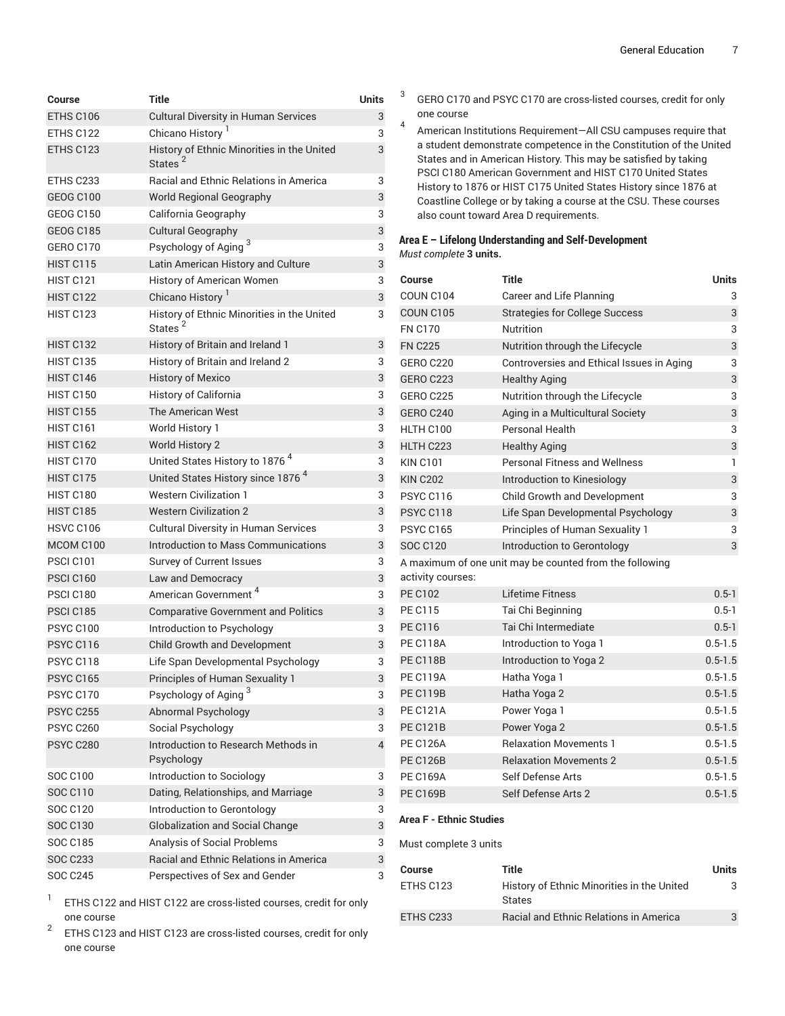| Course           | Title                                                             | Units |
|------------------|-------------------------------------------------------------------|-------|
| ETHS C106        | <b>Cultural Diversity in Human Services</b>                       | 3     |
| ETHS C122        | Chicano History                                                   | 3     |
| ETHS C123        | History of Ethnic Minorities in the United<br>States <sup>2</sup> | 3     |
| ETHS C233        | Racial and Ethnic Relations in America                            | 3     |
| <b>GEOG C100</b> | <b>World Regional Geography</b>                                   | 3     |
| GEOG C150        | California Geography                                              | 3     |
| <b>GEOG C185</b> | <b>Cultural Geography</b>                                         | 3     |
| GERO C170        | Psychology of Aging <sup>3</sup>                                  | 3     |
| <b>HIST C115</b> | Latin American History and Culture                                | 3     |
| HIST C121        | History of American Women                                         | 3     |
| <b>HIST C122</b> | Chicano History                                                   | 3     |
| HIST C123        | History of Ethnic Minorities in the United<br>States <sup>2</sup> | 3     |
| HIST C132        | History of Britain and Ireland 1                                  | 3     |
| <b>HIST C135</b> | History of Britain and Ireland 2                                  | 3     |
| HIST C146        | <b>History of Mexico</b>                                          | 3     |
| <b>HIST C150</b> | <b>History of California</b>                                      | 3     |
| <b>HIST C155</b> | The American West                                                 | 3     |
| HIST C161        | World History 1                                                   | 3     |
| <b>HIST C162</b> | <b>World History 2</b>                                            | 3     |
| HIST C170        | United States History to 1876 <sup>4</sup>                        | 3     |
| HIST C175        | United States History since 1876 <sup>4</sup>                     | 3     |
| HIST C180        | <b>Western Civilization 1</b>                                     | 3     |
| <b>HIST C185</b> | <b>Western Civilization 2</b>                                     | 3     |
| <b>HSVC C106</b> | <b>Cultural Diversity in Human Services</b>                       | 3     |
| MCOM C100        | Introduction to Mass Communications                               | 3     |
| PSCI C101        | Survey of Current Issues                                          | 3     |
| <b>PSCI C160</b> | Law and Democracy                                                 | 3     |
| <b>PSCI C180</b> | American Government <sup>4</sup>                                  | 3     |
| <b>PSCI C185</b> | <b>Comparative Government and Politics</b>                        | 3     |
| <b>PSYC C100</b> | Introduction to Psychology                                        | 3     |
| PSYC C116        | <b>Child Growth and Development</b>                               | 3     |
| PSYC C118        | Life Span Developmental Psychology                                | 3     |
| <b>PSYC C165</b> | Principles of Human Sexuality 1                                   | 3     |
| <b>PSYC C170</b> | Psychology of Aging <sup>3</sup>                                  | 3     |
| <b>PSYC C255</b> | Abnormal Psychology                                               | 3     |
| <b>PSYC C260</b> | Social Psychology                                                 | 3     |
| <b>PSYC C280</b> | Introduction to Research Methods in<br>Psychology                 | 4     |
| SOC C100         | Introduction to Sociology                                         | 3     |
| SOC C110         | Dating, Relationships, and Marriage                               | 3     |
| <b>SOC C120</b>  | Introduction to Gerontology                                       | 3     |
| <b>SOC C130</b>  | <b>Globalization and Social Change</b>                            | 3     |
| SOC C185         | Analysis of Social Problems                                       | 3     |
| <b>SOC C233</b>  | Racial and Ethnic Relations in America                            | 3     |
| SOC C245         | Perspectives of Sex and Gender                                    | 3     |

1 ETHS C122 and HIST C122 are cross-listed courses, credit for only one course

2 ETHS C123 and HIST C123 are cross-listed courses, credit for only one course

3 GERO C170 and PSYC C170 are cross-listed courses, credit for only one course

4 American Institutions Requirement—All CSU campuses require that a student demonstrate competence in the Constitution of the United States and in American History. This may be satisfied by taking PSCI C180 American Government and HIST C170 United States History to 1876 or HIST C175 United States History since 1876 at Coastline College or by taking a course at the CSU. These courses also count toward Area D requirements.

#### **Area E – Lifelong Understanding and Self-Development** *Must complete* **3 units.**

| Course            | Title                                                   | <b>Units</b> |
|-------------------|---------------------------------------------------------|--------------|
| COUN C104         | Career and Life Planning                                | 3            |
| <b>COUN C105</b>  | <b>Strategies for College Success</b>                   | 3            |
| <b>FN C170</b>    | <b>Nutrition</b>                                        | 3            |
| <b>FN C225</b>    | Nutrition through the Lifecycle                         | 3            |
| <b>GERO C220</b>  | Controversies and Ethical Issues in Aging               | 3            |
| <b>GERO C223</b>  | <b>Healthy Aging</b>                                    | 3            |
| <b>GERO C225</b>  | Nutrition through the Lifecycle                         | 3            |
| <b>GERO C240</b>  | Aging in a Multicultural Society                        | 3            |
| HLTH C100         | Personal Health                                         | 3            |
| HLTH C223         | <b>Healthy Aging</b>                                    | 3            |
| <b>KIN C101</b>   | <b>Personal Fitness and Wellness</b>                    | 1            |
| <b>KIN C202</b>   | Introduction to Kinesiology                             | 3            |
| <b>PSYC C116</b>  | <b>Child Growth and Development</b>                     | 3            |
| PSYC C118         | Life Span Developmental Psychology                      | 3            |
| <b>PSYC C165</b>  | Principles of Human Sexuality 1                         | 3            |
| <b>SOC C120</b>   | Introduction to Gerontology                             | 3            |
| activity courses: | A maximum of one unit may be counted from the following |              |
| <b>PE C102</b>    | Lifetime Fitness                                        | $0.5 - 1$    |
| <b>PE C115</b>    | Tai Chi Beginning                                       | $0.5 - 1$    |
| <b>PE C116</b>    | Tai Chi Intermediate                                    | $0.5 - 1$    |
| <b>PE C118A</b>   | Introduction to Yoga 1                                  | $0.5 - 1.5$  |
| <b>PE C118B</b>   | Introduction to Yoga 2                                  | $0.5 - 1.5$  |
| <b>PE C119A</b>   | Hatha Yoga 1                                            | $0.5 - 1.5$  |
| <b>PE C119B</b>   | Hatha Yoga 2                                            | $0.5 - 1.5$  |
| <b>PE C121A</b>   | Power Yoga 1                                            | $0.5 - 1.5$  |
| <b>PE C121B</b>   | Power Yoga 2                                            | $0.5 - 1.5$  |
| <b>PE C126A</b>   | <b>Relaxation Movements 1</b>                           | $0.5 - 1.5$  |
| <b>PE C126B</b>   | <b>Relaxation Movements 2</b>                           | $0.5 - 1.5$  |
| <b>PE C169A</b>   | Self Defense Arts                                       | $0.5 - 1.5$  |
| <b>PE C169B</b>   | Self Defense Arts 2                                     | $0.5 - 1.5$  |

#### **Area F - Ethnic Studies**

Must complete 3 units

| <b>Course</b> | Title                                                       | Units |
|---------------|-------------------------------------------------------------|-------|
| ETHS C123     | History of Ethnic Minorities in the United<br><b>States</b> |       |
| ETHS C233     | <b>Racial and Ethnic Relations in America</b>               | 3     |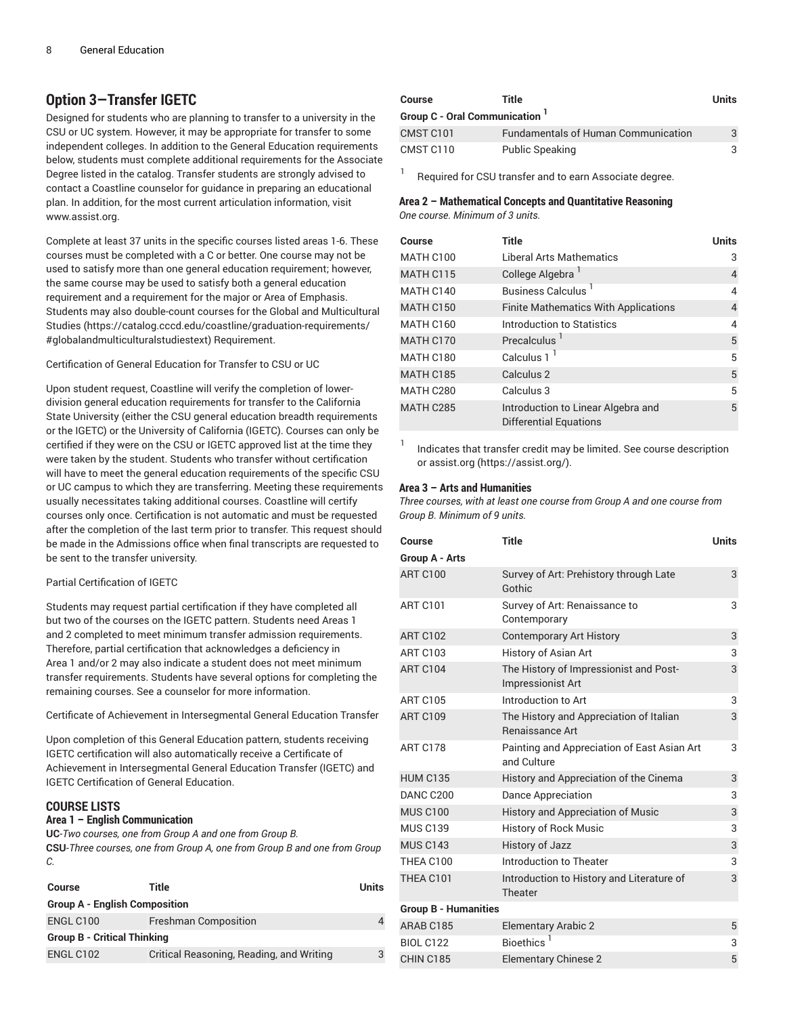## **Option 3—Transfer IGETC**

Designed for students who are planning to transfer to a university in the CSU or UC system. However, it may be appropriate for transfer to some independent colleges. In addition to the General Education requirements below, students must complete additional requirements for the Associate Degree listed in the catalog. Transfer students are strongly advised to contact a Coastline counselor for guidance in preparing an educational plan. In addition, for the most current articulation information, visit www.assist.org.

Complete at least 37 units in the specific courses listed areas 1-6. These courses must be completed with a C or better. One course may not be used to satisfy more than one general education requirement; however, the same course may be used to satisfy both a general education requirement and a requirement for the major or Area of Emphasis. Students may also double-count courses for the [Global and Multicultural](https://catalog.cccd.edu/coastline/graduation-requirements/#globalandmulticulturalstudiestext) [Studies](https://catalog.cccd.edu/coastline/graduation-requirements/#globalandmulticulturalstudiestext) ([https://catalog.cccd.edu/coastline/graduation-requirements/](https://catalog.cccd.edu/coastline/graduation-requirements/#globalandmulticulturalstudiestext) [#globalandmulticulturalstudiestext](https://catalog.cccd.edu/coastline/graduation-requirements/#globalandmulticulturalstudiestext)) Requirement.

Certification of General Education for Transfer to CSU or UC

Upon student request, Coastline will verify the completion of lowerdivision general education requirements for transfer to the California State University (either the CSU general education breadth requirements or the IGETC) or the University of California (IGETC). Courses can only be certified if they were on the CSU or IGETC approved list at the time they were taken by the student. Students who transfer without certification will have to meet the general education requirements of the specific CSU or UC campus to which they are transferring. Meeting these requirements usually necessitates taking additional courses. Coastline will certify courses only once. Certification is not automatic and must be requested after the completion of the last term prior to transfer. This request should be made in the Admissions office when final transcripts are requested to be sent to the transfer university.

#### Partial Certification of IGETC

Students may request partial certification if they have completed all but two of the courses on the IGETC pattern. Students need Areas 1 and 2 completed to meet minimum transfer admission requirements. Therefore, partial certification that acknowledges a deficiency in Area 1 and/or 2 may also indicate a student does not meet minimum transfer requirements. Students have several options for completing the remaining courses. See a counselor for more information.

Certificate of Achievement in Intersegmental General Education Transfer

Upon completion of this General Education pattern, students receiving IGETC certification will also automatically receive a Certificate of Achievement in Intersegmental General Education Transfer (IGETC) and IGETC Certification of General Education.

#### **COURSE LISTS**

#### **Area 1 – English Communication**

**UC**-*Two courses, one from Group A and one from Group B.*

**CSU**-*Three courses, one from Group A, one from Group B and one from Group C.*

| Course                               | Title                                    | <b>Units</b> |
|--------------------------------------|------------------------------------------|--------------|
| <b>Group A - English Composition</b> |                                          |              |
| ENGL C100                            | <b>Freshman Composition</b>              |              |
| <b>Group B - Critical Thinking</b>   |                                          |              |
| ENGL C102                            | Critical Reasoning, Reading, and Writing | 3            |

| <b>Course</b>                  | Title                                                                                                                                     | Units |
|--------------------------------|-------------------------------------------------------------------------------------------------------------------------------------------|-------|
| Group C - Oral Communication 1 |                                                                                                                                           |       |
| CMST C101                      | <b>Fundamentals of Human Communication</b>                                                                                                |       |
| CMST C110                      | <b>Public Speaking</b>                                                                                                                    |       |
|                                | $\mathbf{D}$ and the definition of $\mathbf{D}$ and $\mathbf{D}$ are defined as $\mathbf{A}$ and $\mathbf{A}$ are defined as $\mathbf{D}$ |       |

Required for CSU transfer and to earn Associate degree.

#### **Area 2 – Mathematical Concepts and Quantitative Reasoning** *One course. Minimum of 3 units.*

| Course    | <b>Title</b>                                                        | <b>Units</b> |
|-----------|---------------------------------------------------------------------|--------------|
| MATH C100 | <b>Liberal Arts Mathematics</b>                                     | 3            |
| MATH C115 | College Algebra <sup>1</sup>                                        | 4            |
| MATH C140 | <b>Business Calculus</b>                                            | 4            |
| MATH C150 | <b>Finite Mathematics With Applications</b>                         | 4            |
| MATH C160 | Introduction to Statistics                                          | 4            |
| MATH C170 | Precalculus <sup>1</sup>                                            | 5            |
| MATH C180 | Calculus $11$                                                       | 5            |
| MATH C185 | Calculus 2                                                          | 5            |
| MATH C280 | Calculus 3                                                          | 5            |
| MATH C285 | Introduction to Linear Algebra and<br><b>Differential Equations</b> | 5            |

1 Indicates that transfer credit may be limited. See course description or [assist.org](https://assist.org/) [\(https://assist.org/](https://assist.org/)).

#### **Area 3 – Arts and Humanities**

*Three courses, with at least one course from Group A and one course from Group B. Minimum of 9 units.*

| Course                      | <b>Title</b>                                                       | <b>Units</b> |
|-----------------------------|--------------------------------------------------------------------|--------------|
| Group A - Arts              |                                                                    |              |
| <b>ART C100</b>             | Survey of Art: Prehistory through Late<br>Gothic                   | 3            |
| <b>ART C101</b>             | Survey of Art: Renaissance to<br>Contemporary                      | 3            |
| <b>ART C102</b>             | <b>Contemporary Art History</b>                                    | 3            |
| <b>ART C103</b>             | History of Asian Art                                               | 3            |
| <b>ART C104</b>             | The History of Impressionist and Post-<br><b>Impressionist Art</b> | 3            |
| <b>ART C105</b>             | Introduction to Art                                                | 3            |
| <b>ART C109</b>             | The History and Appreciation of Italian<br>Renaissance Art         | 3            |
| <b>ART C178</b>             | Painting and Appreciation of East Asian Art<br>and Culture         | 3            |
| <b>HUM C135</b>             | History and Appreciation of the Cinema                             | 3            |
| DANC C200                   | <b>Dance Appreciation</b>                                          | 3            |
| <b>MUS C100</b>             | History and Appreciation of Music                                  | 3            |
| <b>MUS C139</b>             | <b>History of Rock Music</b>                                       | 3            |
| <b>MUS C143</b>             | <b>History of Jazz</b>                                             | 3            |
| THEA C100                   | Introduction to Theater                                            | 3            |
| THEA C101                   | Introduction to History and Literature of<br>Theater               | 3            |
| <b>Group B - Humanities</b> |                                                                    |              |
| ARAB C185                   | <b>Elementary Arabic 2</b>                                         | 5            |
| <b>BIOL C122</b>            | Bioethics <sup>1</sup>                                             | 3            |
| CHIN C185                   | <b>Elementary Chinese 2</b>                                        | 5            |
|                             |                                                                    |              |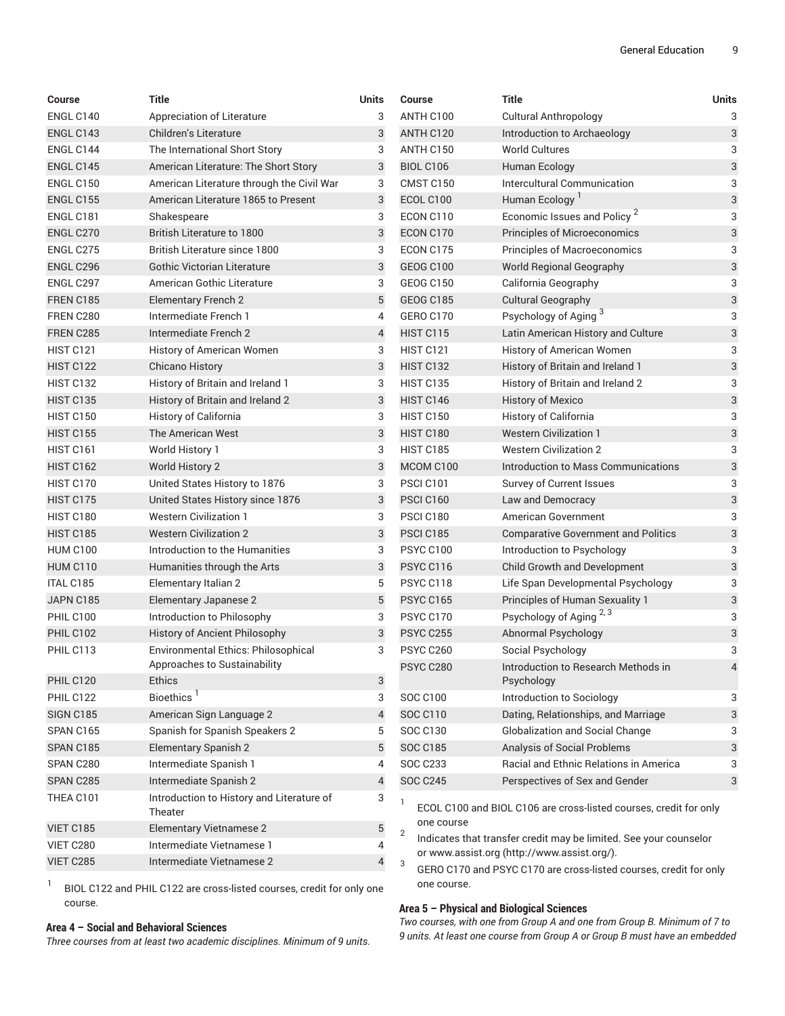| <b>Course</b>    | <b>Title</b>                                         | Units          | Course                       | <b>Title</b>                                                                                                     | <b>Units</b> |
|------------------|------------------------------------------------------|----------------|------------------------------|------------------------------------------------------------------------------------------------------------------|--------------|
| ENGL C140        | Appreciation of Literature                           | 3              | ANTH C100                    | <b>Cultural Anthropology</b>                                                                                     | 3            |
| ENGL C143        | Children's Literature                                | 3              | ANTH C120                    | Introduction to Archaeology                                                                                      | 3            |
| ENGL C144        | The International Short Story                        | 3              | ANTH C150                    | <b>World Cultures</b>                                                                                            | 3            |
| <b>ENGL C145</b> | American Literature: The Short Story                 | 3              | <b>BIOL C106</b>             | Human Ecology                                                                                                    | 3            |
| <b>ENGL C150</b> | American Literature through the Civil War            | 3              | CMST C150                    | Intercultural Communication                                                                                      | 3            |
| <b>ENGL C155</b> | American Literature 1865 to Present                  | 3              | ECOL C100                    | Human Ecology <sup>1</sup>                                                                                       | 3            |
| ENGL C181        | Shakespeare                                          | 3              | ECON C110                    | Economic Issues and Policy <sup>2</sup>                                                                          | 3            |
| ENGL C270        | <b>British Literature to 1800</b>                    | 3              | ECON C170                    | Principles of Microeconomics                                                                                     | 3            |
| ENGL C275        | <b>British Literature since 1800</b>                 | 3              | ECON C175                    | Principles of Macroeconomics                                                                                     | 3            |
| ENGL C296        | <b>Gothic Victorian Literature</b>                   | 3              | <b>GEOG C100</b>             | <b>World Regional Geography</b>                                                                                  | 3            |
| ENGL C297        | American Gothic Literature                           | 3              | <b>GEOG C150</b>             | California Geography                                                                                             | 3            |
| <b>FREN C185</b> | <b>Elementary French 2</b>                           | 5              | <b>GEOG C185</b>             | <b>Cultural Geography</b>                                                                                        | 3            |
| FREN C280        | Intermediate French 1                                | 4              | GERO C170                    | Psychology of Aging <sup>3</sup>                                                                                 | 3            |
| FREN C285        | Intermediate French 2                                | $\overline{4}$ | <b>HIST C115</b>             | Latin American History and Culture                                                                               | 3            |
| HIST C121        | History of American Women                            | 3              | <b>HIST C121</b>             | History of American Women                                                                                        | 3            |
| <b>HIST C122</b> | <b>Chicano History</b>                               | 3              | HIST C132                    | History of Britain and Ireland 1                                                                                 | 3            |
| HIST C132        | History of Britain and Ireland 1                     | 3              | <b>HIST C135</b>             | History of Britain and Ireland 2                                                                                 | 3            |
| <b>HIST C135</b> | History of Britain and Ireland 2                     | $\mathbf{3}$   | <b>HIST C146</b>             | <b>History of Mexico</b>                                                                                         | 3            |
| <b>HIST C150</b> | History of California                                | 3              | <b>HIST C150</b>             | History of California                                                                                            | 3            |
| <b>HIST C155</b> | The American West                                    | $\sqrt{3}$     | <b>HIST C180</b>             | <b>Western Civilization 1</b>                                                                                    | 3            |
| HIST C161        | World History 1                                      | 3              | <b>HIST C185</b>             | <b>Western Civilization 2</b>                                                                                    | 3            |
| <b>HIST C162</b> | World History 2                                      | 3              | MCOM C100                    | Introduction to Mass Communications                                                                              | 3            |
| HIST C170        | United States History to 1876                        | 3              | PSCI C101                    | Survey of Current Issues                                                                                         | 3            |
| HIST C175        | United States History since 1876                     | 3              | PSCI C160                    | Law and Democracy                                                                                                | 3            |
| HIST C180        | <b>Western Civilization 1</b>                        | 3              | PSCI C180                    | American Government                                                                                              | 3            |
| <b>HIST C185</b> | <b>Western Civilization 2</b>                        | 3              | <b>PSCI C185</b>             | <b>Comparative Government and Politics</b>                                                                       | 3            |
| <b>HUM C100</b>  | Introduction to the Humanities                       | 3              | <b>PSYC C100</b>             | Introduction to Psychology                                                                                       | 3            |
| <b>HUM C110</b>  | Humanities through the Arts                          | 3              | PSYC C116                    | Child Growth and Development                                                                                     | 3            |
| <b>ITAL C185</b> | Elementary Italian 2                                 | 5              | PSYC C118                    | Life Span Developmental Psychology                                                                               | 3            |
| JAPN C185        | Elementary Japanese 2                                | 5              | <b>PSYC C165</b>             | Principles of Human Sexuality 1                                                                                  | 3            |
| PHIL C100        | Introduction to Philosophy                           | 3              | <b>PSYC C170</b>             | Psychology of Aging 2, 3                                                                                         | 3            |
| PHIL C102        | History of Ancient Philosophy                        | $\sqrt{3}$     | <b>PSYC C255</b>             | Abnormal Psychology                                                                                              | 3            |
| PHIL C113        | Environmental Ethics: Philosophical                  | 3              | <b>PSYC C260</b>             | Social Psychology                                                                                                | 3            |
|                  | Approaches to Sustainability                         |                | PSYC C280                    | Introduction to Research Methods in                                                                              |              |
| PHIL C120        | <b>Ethics</b>                                        | 3              |                              | Psychology                                                                                                       |              |
| PHIL C122        | Bioethics <sup>1</sup>                               | 3              | <b>SOC C100</b>              | Introduction to Sociology                                                                                        | 3            |
| <b>SIGN C185</b> | American Sign Language 2                             | 4              | <b>SOC C110</b>              | Dating, Relationships, and Marriage                                                                              | 3            |
| SPAN C165        | Spanish for Spanish Speakers 2                       | 5              | <b>SOC C130</b>              | <b>Globalization and Social Change</b>                                                                           | 3            |
| SPAN C185        | <b>Elementary Spanish 2</b>                          | 5              | <b>SOC C185</b>              | Analysis of Social Problems                                                                                      | 3            |
| SPAN C280        | Intermediate Spanish 1                               | 4              | <b>SOC C233</b>              | Racial and Ethnic Relations in America                                                                           | 3            |
| SPAN C285        | Intermediate Spanish 2                               | 4              | <b>SOC C245</b>              | Perspectives of Sex and Gender                                                                                   | 3            |
| THEA C101        | Introduction to History and Literature of<br>Theater | 3              | $\mathbf{1}$                 | ECOL C100 and BIOL C106 are cross-listed courses, credit for only                                                |              |
| VIET C185        | <b>Elementary Vietnamese 2</b>                       | 5              | one course<br>$\overline{2}$ |                                                                                                                  |              |
| VIET C280        | Intermediate Vietnamese 1                            | 4              |                              | Indicates that transfer credit may be limited. See your counselor<br>or www.assist.org (http://www.assist.org/). |              |
| VIET C285        | Intermediate Vietnamese 2                            | 4              | 3                            | GERO C170 and PSYC C170 are cross-listed courses, credit for only                                                |              |
|                  |                                                      |                |                              |                                                                                                                  |              |

1 BIOL C122 and PHIL C122 are cross-listed courses, credit for only one course.

#### **Area 4 – Social and Behavioral Sciences**

*Three courses from at least two academic disciplines. Minimum of 9 units.*

#### **Area 5 – Physical and Biological Sciences**

one course.

*Two courses, with one from Group A and one from Group B. Minimum of 7 to 9 units. At least one course from Group A or Group B must have an embedded*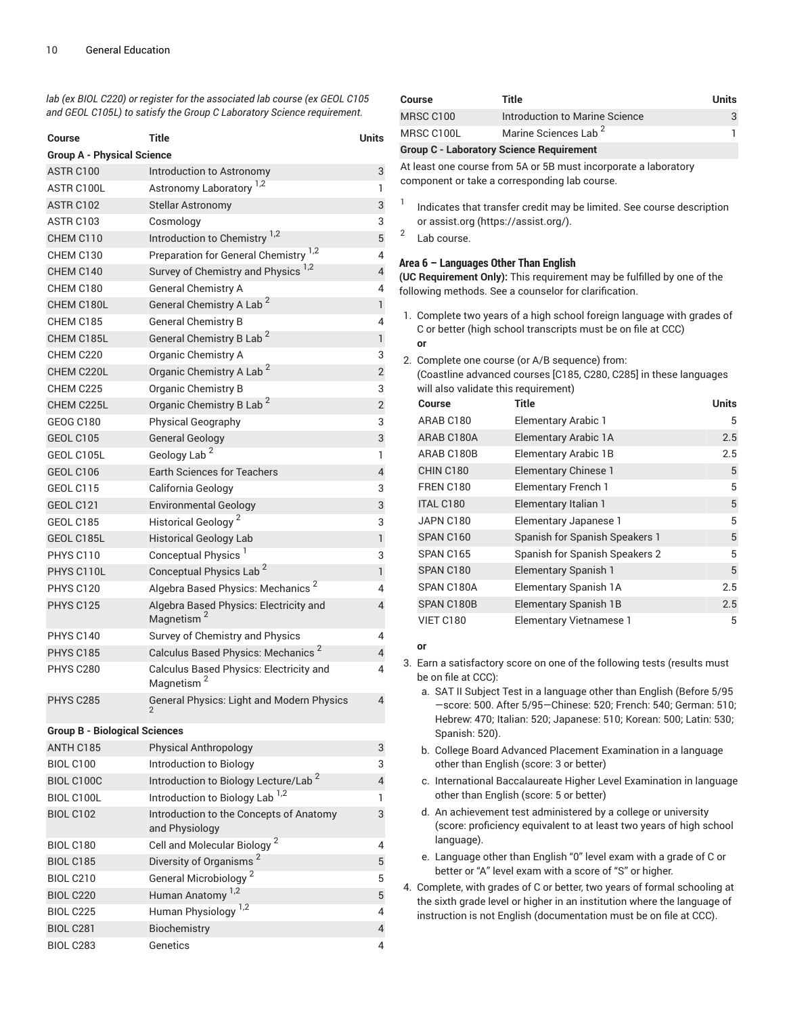*lab (ex BIOL C220) or register for the associated lab course (ex GEOL C105 and GEOL C105L) to satisfy the Group C Laboratory Science requirement.*

| Course                               | Title                                                             | Units                    |
|--------------------------------------|-------------------------------------------------------------------|--------------------------|
| <b>Group A - Physical Science</b>    |                                                                   |                          |
| ASTR C100                            | Introduction to Astronomy                                         | 3                        |
| ASTR C100L                           | Astronomy Laboratory <sup>1,2</sup>                               | 1                        |
| ASTR C102                            | <b>Stellar Astronomy</b>                                          | 3                        |
| ASTR C103                            | Cosmology                                                         | 3                        |
| CHEM C110                            | Introduction to Chemistry <sup>1,2</sup>                          | $\overline{5}$           |
| CHEM C130                            | Preparation for General Chemistry <sup>1,2</sup>                  | 4                        |
| CHEM C140                            | Survey of Chemistry and Physics <sup>1,2</sup>                    | $\overline{\mathcal{L}}$ |
| CHEM C180                            | <b>General Chemistry A</b>                                        | 4                        |
| CHEM C180L                           | General Chemistry A Lab <sup>2</sup>                              | $\mathbf{1}$             |
| CHEM C185                            | <b>General Chemistry B</b>                                        | 4                        |
| CHEM C185L                           | General Chemistry B Lab <sup>2</sup>                              | $\mathbf{1}$             |
| CHEM C220                            | Organic Chemistry A                                               | 3                        |
| CHEM C220L                           | Organic Chemistry A Lab <sup>2</sup>                              | $\overline{2}$           |
| CHEM C225                            | <b>Organic Chemistry B</b>                                        | 3                        |
| CHEM C225L                           | Organic Chemistry B Lab <sup>2</sup>                              | $\overline{c}$           |
| <b>GEOG C180</b>                     | <b>Physical Geography</b>                                         | 3                        |
| GEOL C105                            | <b>General Geology</b>                                            | 3                        |
| GEOL C105L                           | Geology Lab <sup>2</sup>                                          | 1                        |
| GEOL C106                            | <b>Earth Sciences for Teachers</b>                                | $\overline{\mathbf{4}}$  |
| GEOL C115                            | California Geology                                                | 3                        |
| <b>GEOL C121</b>                     | <b>Environmental Geology</b>                                      | 3                        |
| GEOL C185                            | Historical Geology <sup>2</sup>                                   | 3                        |
| GEOL C185L                           | <b>Historical Geology Lab</b>                                     | $\mathbf{1}$             |
| PHYS C110                            | Conceptual Physics <sup>1</sup>                                   | 3                        |
| PHYS C110L                           | Conceptual Physics Lab <sup>2</sup>                               | $\mathbf{1}$             |
| PHYS C120                            | Algebra Based Physics: Mechanics <sup>2</sup>                     | 4                        |
| <b>PHYS C125</b>                     | Algebra Based Physics: Electricity and<br>Magnetism <sup>2</sup>  | $\overline{4}$           |
| PHYS C140                            | Survey of Chemistry and Physics                                   | 4                        |
| <b>PHYS C185</b>                     | Calculus Based Physics: Mechanics <sup>2</sup>                    | $\overline{4}$           |
| PHYS C280                            | Calculus Based Physics: Electricity and<br>Magnetism <sup>2</sup> | 4                        |
| <b>PHYS C285</b>                     | <b>General Physics: Light and Modern Physics</b>                  | 4                        |
| <b>Group B - Biological Sciences</b> |                                                                   |                          |
| ANTH C185                            | Physical Anthropology                                             | 3                        |
| <b>BIOL C100</b>                     | Introduction to Biology                                           | 3                        |
| BIOL C100C                           | Introduction to Biology Lecture/Lab <sup>2</sup>                  | 4                        |
| BIOL C100L                           | Introduction to Biology Lab <sup>1,2</sup>                        | 1                        |
| <b>BIOL C102</b>                     | Introduction to the Concepts of Anatomy<br>and Physiology         | 3                        |
| <b>BIOL C180</b>                     | Cell and Molecular Biology <sup>2</sup>                           | 4                        |
| <b>BIOL C185</b>                     | Diversity of Organisms <sup>2</sup>                               | 5                        |
| <b>BIOL C210</b>                     | General Microbiology <sup>2</sup>                                 | 5                        |
| <b>BIOL C220</b>                     | Human Anatomy <sup>1,2</sup>                                      | $\overline{5}$           |
| <b>BIOL C225</b>                     | Human Physiology <sup>1,2</sup>                                   | 4                        |
| <b>BIOL C281</b>                     | Biochemistry                                                      | $\overline{4}$           |
| <b>BIOL C283</b>                     | Genetics                                                          | 4                        |

| Course                                                                                                                 | <b>Title</b>                                                          | <b>Units</b> |  |  |
|------------------------------------------------------------------------------------------------------------------------|-----------------------------------------------------------------------|--------------|--|--|
| MRSC C100                                                                                                              | Introduction to Marine Science                                        | 3            |  |  |
| MRSC C100L                                                                                                             | Marine Sciences Lab <sup>2</sup>                                      |              |  |  |
| <b>Group C - Laboratory Science Requirement</b>                                                                        |                                                                       |              |  |  |
| At least one course from 5A or 5B must incorporate a laboratory<br>component or take a corresponding lab course.       |                                                                       |              |  |  |
| -1<br>or assist org (https://assist.org/).<br>2<br>Lab course.                                                         | Indicates that transfer credit may be limited. See course description |              |  |  |
| Area 6 - Languages Other Than English<br><b>(UC Requirement Only):</b> This requirement may be fulfilled by one of the |                                                                       |              |  |  |

following methods. See a counselor for clarification.

- 1. Complete two years of a high school foreign language with grades of C or better (high school transcripts must be on file at CCC) **or**
- 2. Complete one course (or A/B sequence) from:<br>Coastline advanced courses [C185, C280, C28] ree (Coastline adquance) means<br>ed courses [C185, C280, C285] in these languages

|                                      | (Coastilne advanced courses [C185, C280, C285] in these language |
|--------------------------------------|------------------------------------------------------------------|
| will also validate this requirement) |                                                                  |

| Course           | <b>Title</b>                   | <b>Units</b> |
|------------------|--------------------------------|--------------|
| ARAB C180        | <b>Elementary Arabic 1</b>     | 5            |
| ARAB C180A       | Elementary Arabic 1A           | 2.5          |
| ARAB C180B       | <b>Elementary Arabic 1B</b>    | 2.5          |
| CHIN C180        | Elementary Chinese 1           | 5            |
| <b>FREN C180</b> | <b>Elementary French 1</b>     | 5            |
| <b>ITAL C180</b> | Elementary Italian 1           | 5            |
| JAPN C180        | Elementary Japanese 1          | 5            |
| SPAN C160        | Spanish for Spanish Speakers 1 | 5            |
| SPAN C165        | Spanish for Spanish Speakers 2 | 5            |
| SPAN C180        | <b>Elementary Spanish 1</b>    | 5            |
| SPAN C180A       | Elementary Spanish 1A          | 2.5          |
| SPAN C180B       | Elementary Spanish 1B          | 2.5          |
| VIET C180        | <b>Elementary Vietnamese 1</b> | 5            |

#### **or**

- 3. Earn a satisfactory score on one of the following tests (results must be on file at CCC):
	- a. SAT II Subject Test in a language other than English (Before 5/95 —score: 500. After 5/95—Chinese: 520; French: 540; German: 510; Hebrew: 470; Italian: 520; Japanese: 510; Korean: 500; Latin: 530; Spanish: 520).
	- b. College Board Advanced Placement Examination in a language other than English (score: 3 or better)
	- c. International Baccalaureate Higher Level Examination in language other than English (score: 5 or better)
	- d. An achievement test administered by a college or university (score: proficiency equivalent to at least two years of high school language).
	- e. Language other than English "0" level exam with a grade of C or better or "A" level exam with a score of "S" or higher.
- 4. Complete, with grades of C or better, two years of formal schooling at the sixth grade level or higher in an institution where the language of instruction is not English (documentation must be on file at CCC).